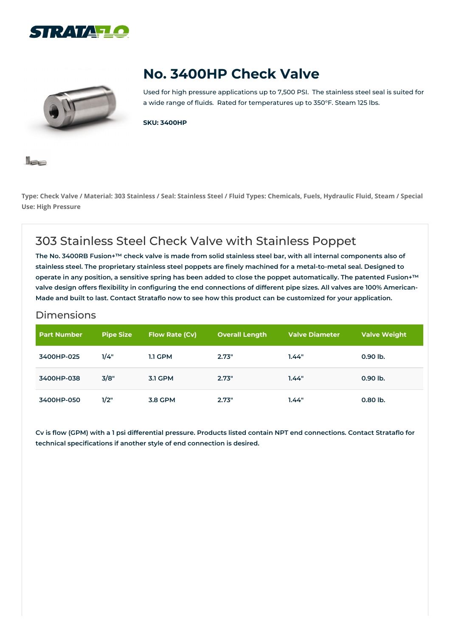



# **No. 3400HP Check Valve**

Used for high pressure applications up to 7,500 PSI. The stainless steel seal is suited for a wide range of fluids. Rated for temperatures up to 350°F. Steam 125 lbs.

**SKU: 3400HP**



Type: Check Valve / Material: 303 Stainless / Seal: Stainless Steel / Fluid Types: Chemicals, Fuels, Hydraulic Fluid, Steam / Special **Use: High Pressure**

# 303 Stainless Steel Check Valve with Stainless Poppet

The No. 3400RB Fusion+™ check valve is made from solid stainless steel bar, with all internal components also of stainless steel. The proprietary stainless steel poppets are finely machined for a metal-to-metal seal. Designed to operate in any position, a sensitive spring has been added to close the poppet automatically. The patented Fusion+™ valve design offers flexibility in configuring the end connections of different pipe sizes. All valves are 100% American-Made and built to last. Contact Strataflo now to see how this product can be customized for your application.

#### Dimensions

| <b>Part Number</b> | <b>Pipe Size</b> | <b>Flow Rate (Cv)</b> | <b>Overall Length</b> | <b>Valve Diameter</b> | <b>Valve Weight</b> |
|--------------------|------------------|-----------------------|-----------------------|-----------------------|---------------------|
| 3400HP-025         | 1/4"             | <b>1.1 GPM</b>        | 2.73"                 | 1.44"                 | 0.90 lb.            |
| 3400HP-038         | 3/8"             | <b>3.1 GPM</b>        | 2.73"                 | 1.44"                 | 0.90 lb.            |
| 3400HP-050         | 1/2"             | <b>3.8 GPM</b>        | 2.73"                 | 1.44"                 | $0.80$ lb.          |

Cv is flow (GPM) with a 1 psi differential pressure. Products listed contain NPT end connections. Contact Strataflo for **technical specifications if another style of end connection is desired.**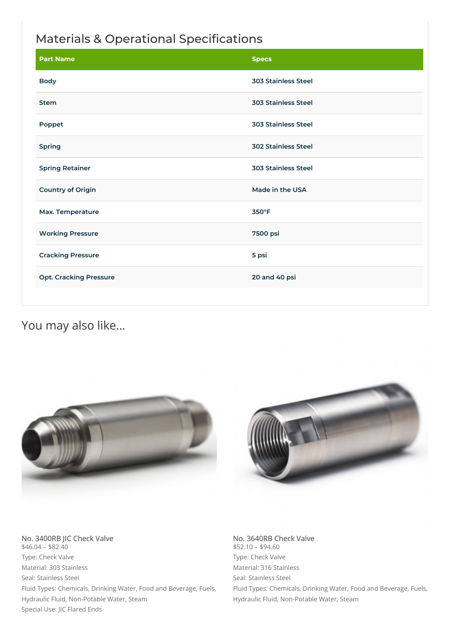## Materials & Operational Specifications

| <b>Part Name</b>              | <b>Specs</b>               |  |
|-------------------------------|----------------------------|--|
| <b>Body</b>                   | <b>303 Stainless Steel</b> |  |
| <b>Stem</b>                   | <b>303 Stainless Steel</b> |  |
| Poppet                        | <b>303 Stainless Steel</b> |  |
| <b>Spring</b>                 | <b>302 Stainless Steel</b> |  |
| <b>Spring Retainer</b>        | <b>303 Stainless Steel</b> |  |
| <b>Country of Origin</b>      | Made in the USA            |  |
| Max. Temperature              | 350°F                      |  |
| <b>Working Pressure</b>       | 7500 psi                   |  |
| <b>Cracking Pressure</b>      | 5 psi                      |  |
| <b>Opt. Cracking Pressure</b> | 20 and 40 psi              |  |

### You may also like…





No. 3400RB JIC Check Valve  $$46.04 - $82.40$ Type: Check Valve Material: 303 Stainless Seal: Stainless Steel Fluid Types: Chemicals, Drinking Water, Food and Beverage, Fuels, Hydraulic Fluid, Non-Potable Water, Steam Special Use: JIC Flared Ends

No. 3640RB Check Valve \$52.10 – \$94.60 Type: Check Valve Material: 316 Stainless Seal: Stainless Steel

Fluid Types: Chemicals, Drinking Water, Food and Beverage, Fuels, Hydraulic Fluid, Non-Potable Water, Steam